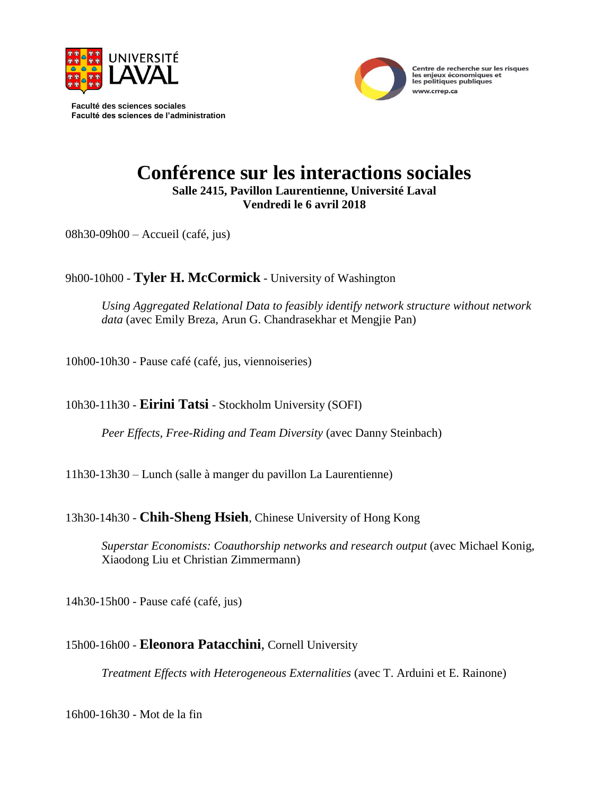

**Faculté des sciences sociales Faculté des sciences de l'administration**



# **Conférence sur les interactions sociales Salle 2415, Pavillon Laurentienne, Université Laval**

**Vendredi le 6 avril 2018**

08h30-09h00 – Accueil (café, jus)

## 9h00-10h00 - **Tyler H. McCormick** - University of Washington

*Using Aggregated Relational Data to feasibly identify network structure without network data* (avec Emily Breza, Arun G. Chandrasekhar et Mengjie Pan)

10h00-10h30 - Pause café (café, jus, viennoiseries)

## 10h30-11h30 *-* **Eirini Tatsi** - Stockholm University (SOFI)

*Peer Effects, Free-Riding and Team Diversity* (avec Danny Steinbach)

11h30-13h30 – Lunch (salle à manger du pavillon La Laurentienne)

## 13h30-14h30 - **Chih-Sheng Hsieh**, Chinese University of Hong Kong

*Superstar Economists: Coauthorship networks and research output* (avec Michael Konig, Xiaodong Liu et Christian Zimmermann)

14h30-15h00 - Pause café (café, jus)

## 15h00-16h00 *-* **Eleonora Patacchini**, Cornell University

*Treatment Effects with Heterogeneous Externalities* (avec T. Arduini et E. Rainone)

16h00-16h30 - Mot de la fin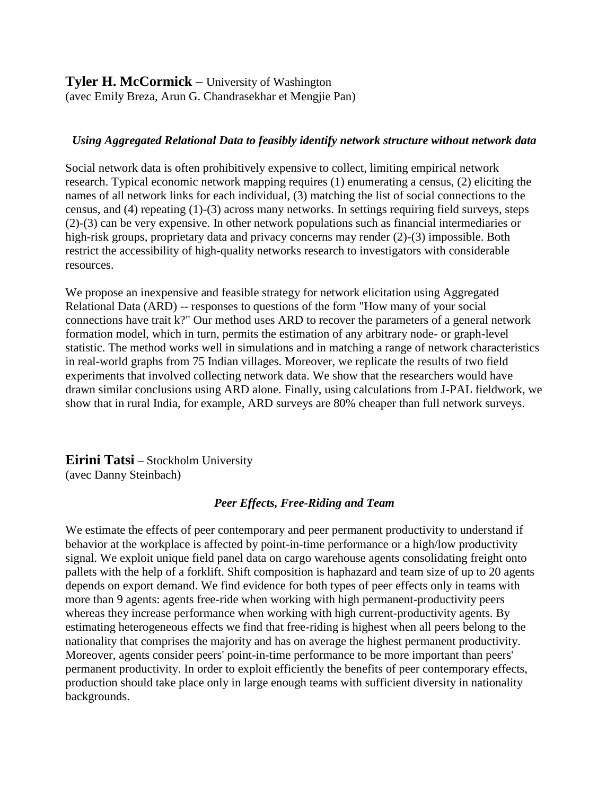**Tyler H. McCormick** – University of Washington (avec Emily Breza, Arun G. Chandrasekhar et Mengjie Pan)

#### *Using Aggregated Relational Data to feasibly identify network structure without network data*

Social network data is often prohibitively expensive to collect, limiting empirical network research. Typical economic network mapping requires (1) enumerating a census, (2) eliciting the names of all network links for each individual, (3) matching the list of social connections to the census, and (4) repeating (1)-(3) across many networks. In settings requiring field surveys, steps (2)-(3) can be very expensive. In other network populations such as financial intermediaries or high-risk groups, proprietary data and privacy concerns may render (2)-(3) impossible. Both restrict the accessibility of high-quality networks research to investigators with considerable resources.

We propose an inexpensive and feasible strategy for network elicitation using Aggregated Relational Data (ARD) -- responses to questions of the form "How many of your social connections have trait k?" Our method uses ARD to recover the parameters of a general network formation model, which in turn, permits the estimation of any arbitrary node- or graph-level statistic. The method works well in simulations and in matching a range of network characteristics in real-world graphs from 75 Indian villages. Moreover, we replicate the results of two field experiments that involved collecting network data. We show that the researchers would have drawn similar conclusions using ARD alone. Finally, using calculations from J-PAL fieldwork, we show that in rural India, for example, ARD surveys are 80% cheaper than full network surveys.

**Eirini Tatsi** – Stockholm University (avec Danny Steinbach)

#### *Peer Effects, Free-Riding and Team*

We estimate the effects of peer contemporary and peer permanent productivity to understand if behavior at the workplace is affected by point-in-time performance or a high/low productivity signal. We exploit unique field panel data on cargo warehouse agents consolidating freight onto pallets with the help of a forklift. Shift composition is haphazard and team size of up to 20 agents depends on export demand. We find evidence for both types of peer effects only in teams with more than 9 agents: agents free-ride when working with high permanent-productivity peers whereas they increase performance when working with high current-productivity agents. By estimating heterogeneous effects we find that free-riding is highest when all peers belong to the nationality that comprises the majority and has on average the highest permanent productivity. Moreover, agents consider peers' point-in-time performance to be more important than peers' permanent productivity. In order to exploit efficiently the benefits of peer contemporary effects, production should take place only in large enough teams with sufficient diversity in nationality backgrounds.